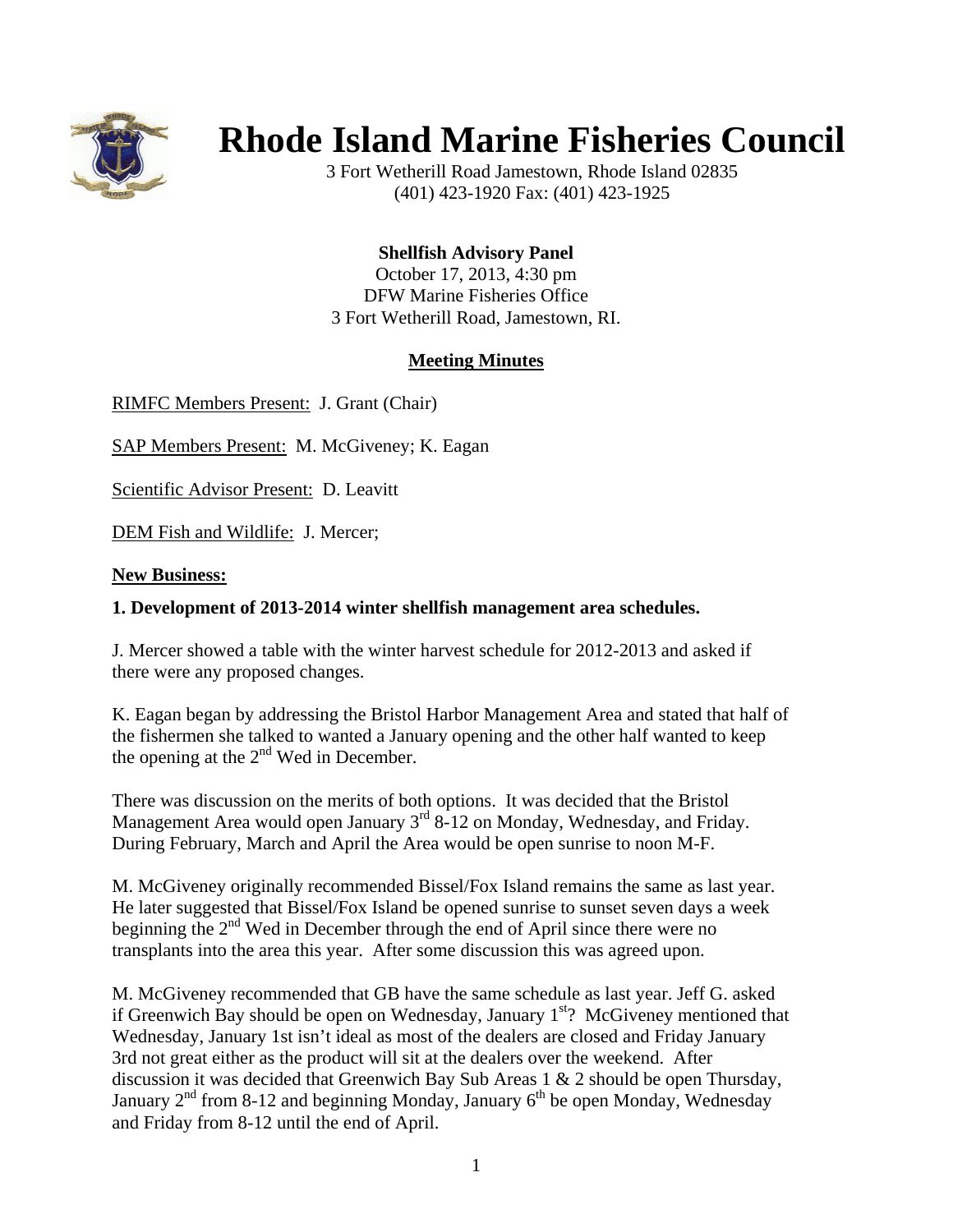

## **Rhode Island Marine Fisheries Council**

3 Fort Wetherill Road Jamestown, Rhode Island 02835 (401) 423-1920 Fax: (401) 423-1925

**Shellfish Advisory Panel** 

October 17, 2013, 4:30 pm DFW Marine Fisheries Office 3 Fort Wetherill Road, Jamestown, RI.

## **Meeting Minutes**

RIMFC Members Present: J. Grant (Chair)

SAP Members Present: M. McGiveney; K. Eagan

Scientific Advisor Present: D. Leavitt

DEM Fish and Wildlife: J. Mercer;

## **New Business:**

## **1. Development of 2013-2014 winter shellfish management area schedules.**

J. Mercer showed a table with the winter harvest schedule for 2012-2013 and asked if there were any proposed changes.

K. Eagan began by addressing the Bristol Harbor Management Area and stated that half of the fishermen she talked to wanted a January opening and the other half wanted to keep the opening at the  $2<sup>nd</sup>$  Wed in December.

There was discussion on the merits of both options. It was decided that the Bristol Management Area would open January  $3<sup>rd</sup> 8-12$  on Monday, Wednesday, and Friday. During February, March and April the Area would be open sunrise to noon M-F.

M. McGiveney originally recommended Bissel/Fox Island remains the same as last year. He later suggested that Bissel/Fox Island be opened sunrise to sunset seven days a week beginning the  $2<sup>nd</sup>$  Wed in December through the end of April since there were no transplants into the area this year. After some discussion this was agreed upon.

M. McGiveney recommended that GB have the same schedule as last year. Jeff G. asked if Greenwich Bay should be open on Wednesday, January  $1<sup>st</sup>$ ? McGiveney mentioned that Wednesday, January 1st isn't ideal as most of the dealers are closed and Friday January 3rd not great either as the product will sit at the dealers over the weekend. After discussion it was decided that Greenwich Bay Sub Areas 1 & 2 should be open Thursday, January  $2<sup>nd</sup>$  from 8-12 and beginning Monday, January  $6<sup>th</sup>$  be open Monday, Wednesday and Friday from 8-12 until the end of April.